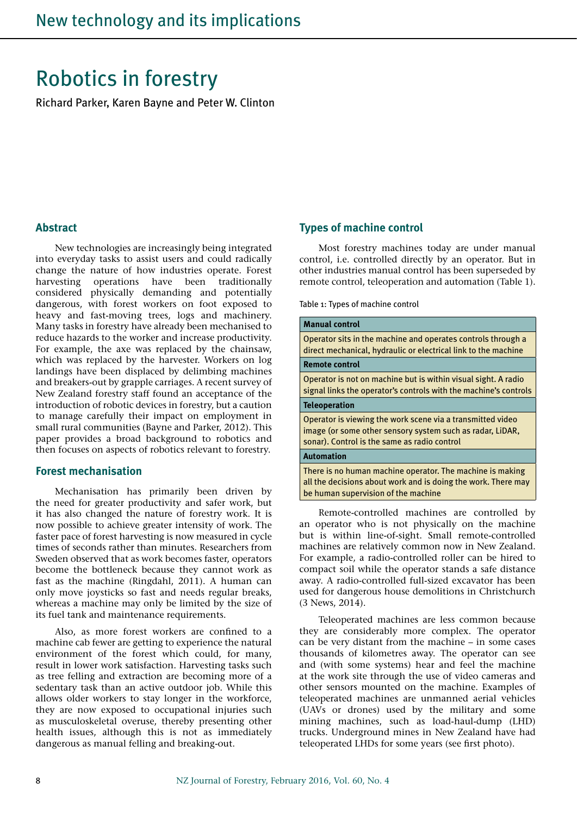# Robotics in forestry

Richard Parker, Karen Bayne and Peter W. Clinton

#### **Abstract**

New technologies are increasingly being integrated into everyday tasks to assist users and could radically change the nature of how industries operate. Forest harvesting operations have been traditionally considered physically demanding and potentially dangerous, with forest workers on foot exposed to heavy and fast-moving trees, logs and machinery. Many tasks in forestry have already been mechanised to reduce hazards to the worker and increase productivity. For example, the axe was replaced by the chainsaw, which was replaced by the harvester. Workers on log landings have been displaced by delimbing machines and breakers-out by grapple carriages. A recent survey of New Zealand forestry staff found an acceptance of the introduction of robotic devices in forestry, but a caution to manage carefully their impact on employment in small rural communities (Bayne and Parker, 2012). This paper provides a broad background to robotics and then focuses on aspects of robotics relevant to forestry.

#### **Forest mechanisation**

Mechanisation has primarily been driven by the need for greater productivity and safer work, but it has also changed the nature of forestry work. It is now possible to achieve greater intensity of work. The faster pace of forest harvesting is now measured in cycle times of seconds rather than minutes. Researchers from Sweden observed that as work becomes faster, operators become the bottleneck because they cannot work as fast as the machine (Ringdahl, 2011). A human can only move joysticks so fast and needs regular breaks, whereas a machine may only be limited by the size of its fuel tank and maintenance requirements.

Also, as more forest workers are confined to a machine cab fewer are getting to experience the natural environment of the forest which could, for many, result in lower work satisfaction. Harvesting tasks such as tree felling and extraction are becoming more of a sedentary task than an active outdoor job. While this allows older workers to stay longer in the workforce, they are now exposed to occupational injuries such as musculoskeletal overuse, thereby presenting other health issues, although this is not as immediately dangerous as manual felling and breaking-out.

#### **Types of machine control**

Most forestry machines today are under manual control, i.e. controlled directly by an operator. But in other industries manual control has been superseded by remote control, teleoperation and automation (Table 1).

Table 1: Types of machine control

#### **Manual control**

Operator sits in the machine and operates controls through a direct mechanical, hydraulic or electrical link to the machine **Remote control** Operator is not on machine but is within visual sight. A radio

signal links the operator's controls with the machine's controls

**Teleoperation**

Operator is viewing the work scene via a transmitted video image (or some other sensory system such as radar, LiDAR, sonar). Control is the same as radio control

#### **Automation**

There is no human machine operator. The machine is making all the decisions about work and is doing the work. There may be human supervision of the machine

Remote-controlled machines are controlled by an operator who is not physically on the machine but is within line-of-sight. Small remote-controlled machines are relatively common now in New Zealand. For example, a radio-controlled roller can be hired to compact soil while the operator stands a safe distance away. A radio-controlled full-sized excavator has been used for dangerous house demolitions in Christchurch (3 News, 2014).

Teleoperated machines are less common because they are considerably more complex. The operator can be very distant from the machine – in some cases thousands of kilometres away. The operator can see and (with some systems) hear and feel the machine at the work site through the use of video cameras and other sensors mounted on the machine. Examples of teleoperated machines are unmanned aerial vehicles (UAVs or drones) used by the military and some mining machines, such as load-haul-dump (LHD) trucks. Underground mines in New Zealand have had teleoperated LHDs for some years (see first photo).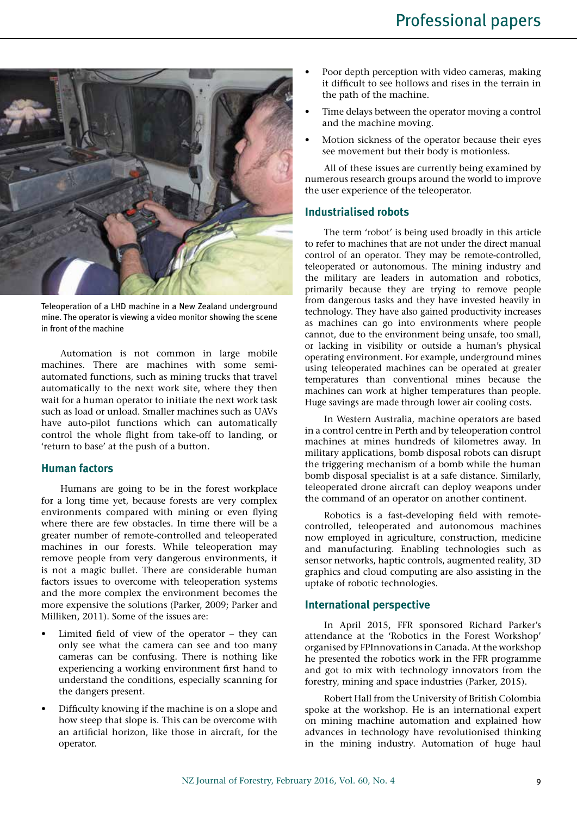

Teleoperation of a LHD machine in a New Zealand underground mine. The operator is viewing a video monitor showing the scene in front of the machine

Automation is not common in large mobile machines. There are machines with some semiautomated functions, such as mining trucks that travel automatically to the next work site, where they then wait for a human operator to initiate the next work task such as load or unload. Smaller machines such as UAVs have auto-pilot functions which can automatically control the whole flight from take-off to landing, or 'return to base' at the push of a button.

## **Human factors**

Humans are going to be in the forest workplace for a long time yet, because forests are very complex environments compared with mining or even flying where there are few obstacles. In time there will be a greater number of remote-controlled and teleoperated machines in our forests. While teleoperation may remove people from very dangerous environments, it is not a magic bullet. There are considerable human factors issues to overcome with teleoperation systems and the more complex the environment becomes the more expensive the solutions (Parker, 2009; Parker and Milliken, 2011). Some of the issues are:

- Limited field of view of the operator  $-$  they can only see what the camera can see and too many cameras can be confusing. There is nothing like experiencing a working environment first hand to understand the conditions, especially scanning for the dangers present.
- Difficulty knowing if the machine is on a slope and how steep that slope is. This can be overcome with an artificial horizon, like those in aircraft, for the operator.
- Poor depth perception with video cameras, making it difficult to see hollows and rises in the terrain in the path of the machine.
- Time delays between the operator moving a control and the machine moving.
- Motion sickness of the operator because their eyes see movement but their body is motionless.

All of these issues are currently being examined by numerous research groups around the world to improve the user experience of the teleoperator.

#### **Industrialised robots**

The term 'robot' is being used broadly in this article to refer to machines that are not under the direct manual control of an operator. They may be remote-controlled, teleoperated or autonomous. The mining industry and the military are leaders in automation and robotics, primarily because they are trying to remove people from dangerous tasks and they have invested heavily in technology. They have also gained productivity increases as machines can go into environments where people cannot, due to the environment being unsafe, too small, or lacking in visibility or outside a human's physical operating environment. For example, underground mines using teleoperated machines can be operated at greater temperatures than conventional mines because the machines can work at higher temperatures than people. Huge savings are made through lower air cooling costs.

In Western Australia, machine operators are based in a control centre in Perth and by teleoperation control machines at mines hundreds of kilometres away. In military applications, bomb disposal robots can disrupt the triggering mechanism of a bomb while the human bomb disposal specialist is at a safe distance. Similarly, teleoperated drone aircraft can deploy weapons under the command of an operator on another continent.

Robotics is a fast-developing field with remotecontrolled, teleoperated and autonomous machines now employed in agriculture, construction, medicine and manufacturing. Enabling technologies such as sensor networks, haptic controls, augmented reality, 3D graphics and cloud computing are also assisting in the uptake of robotic technologies.

## **International perspective**

In April 2015, FFR sponsored Richard Parker's attendance at the 'Robotics in the Forest Workshop' organised by FPInnovations in Canada. At the workshop he presented the robotics work in the FFR programme and got to mix with technology innovators from the forestry, mining and space industries (Parker, 2015).

Robert Hall from the University of British Colombia spoke at the workshop. He is an international expert on mining machine automation and explained how advances in technology have revolutionised thinking in the mining industry. Automation of huge haul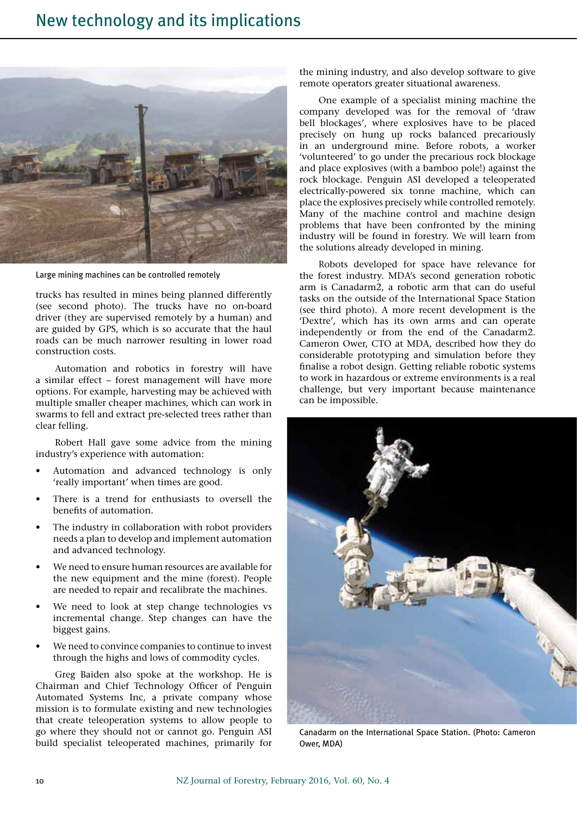

Large mining machines can be controlled remotely

trucks has resulted in mines being planned differently (see second photo). The trucks have no on-board driver (they are supervised remotely by a human) and are guided by GPS, which is so accurate that the haul roads can be much narrower resulting in lower road construction costs.

Automation and robotics in forestry will have a similar effect – forest management will have more options. For example, harvesting may be achieved with multiple smaller cheaper machines, which can work in swarms to fell and extract pre-selected trees rather than clear felling.

Robert Hall gave some advice from the mining industry's experience with automation:

- Automation and advanced technology is only 'really important' when times are good.
- There is a trend for enthusiasts to oversell the benefits of automation.
- The industry in collaboration with robot providers needs a plan to develop and implement automation and advanced technology.
- We need to ensure human resources are available for the new equipment and the mine (forest). People are needed to repair and recalibrate the machines.
- We need to look at step change technologies vs incremental change. Step changes can have the biggest gains.
- We need to convince companies to continue to invest through the highs and lows of commodity cycles.

Greg Baiden also spoke at the workshop. He is Chairman and Chief Technology Officer of Penguin Automated Systems Inc, a private company whose mission is to formulate existing and new technologies that create teleoperation systems to allow people to go where they should not or cannot go. Penguin ASI build specialist teleoperated machines, primarily for the mining industry, and also develop software to give remote operators greater situational awareness.

One example of a specialist mining machine the company developed was for the removal of 'draw bell blockages', where explosives have to be placed precisely on hung up rocks balanced precariously in an underground mine. Before robots, a worker 'volunteered' to go under the precarious rock blockage and place explosives (with a bamboo pole!) against the rock blockage. Penguin ASI developed a teleoperated electrically-powered six tonne machine, which can place the explosives precisely while controlled remotely. Many of the machine control and machine design problems that have been confronted by the mining industry will be found in forestry. We will learn from the solutions already developed in mining.

Robots developed for space have relevance for the forest industry. MDA's second generation robotic arm is Canadarm2, a robotic arm that can do useful tasks on the outside of the International Space Station (see third photo). A more recent development is the 'Dextre', which has its own arms and can operate independently or from the end of the Canadarm2. Cameron Ower, CTO at MDA, described how they do considerable prototyping and simulation before they finalise a robot design. Getting reliable robotic systems to work in hazardous or extreme environments is a real challenge, but very important because maintenance can be impossible.



Canadarm on the International Space Station. (Photo: Cameron Ower, MDA)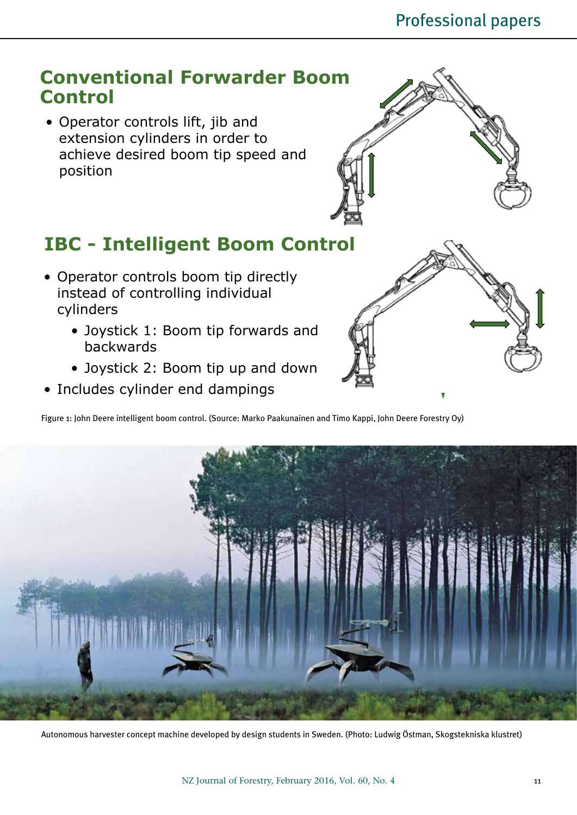

- Joystick 1: Boom tip forwards and backwards
- Joystick 2: Boom tip up and down
- Includes cylinder end dampings

Figure 1: John Deere intelligent boom control. (Source: Marko Paakunainen and Timo Kappi, John Deere Forestry Oy)



Autonomous harvester concept machine developed by design students in Sweden. (Photo: Ludwig Östman, Skogstekniska klustret)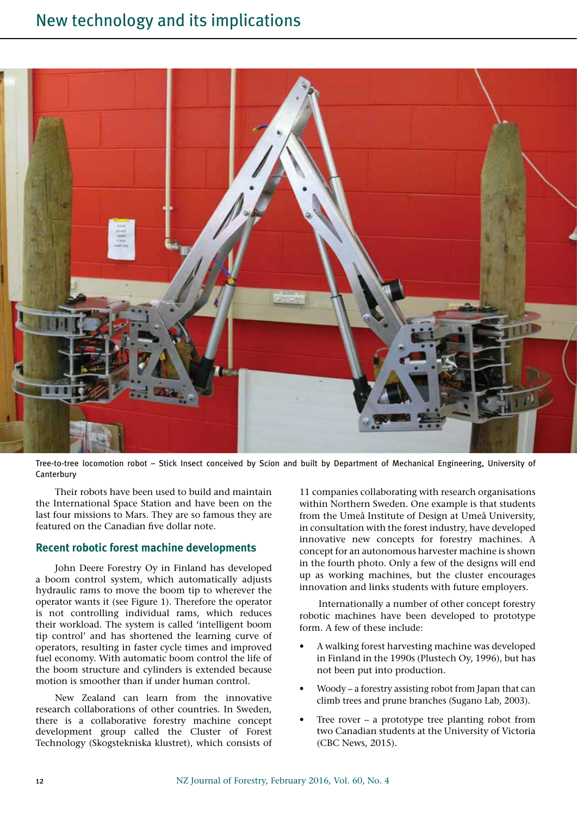

Tree-to-tree locomotion robot – Stick Insect conceived by Scion and built by Department of Mechanical Engineering, University of **Canterbury** 

Their robots have been used to build and maintain the International Space Station and have been on the last four missions to Mars. They are so famous they are featured on the Canadian five dollar note.

## **Recent robotic forest machine developments**

John Deere Forestry Oy in Finland has developed a boom control system, which automatically adjusts hydraulic rams to move the boom tip to wherever the operator wants it (see Figure 1). Therefore the operator is not controlling individual rams, which reduces their workload. The system is called 'intelligent boom tip control' and has shortened the learning curve of operators, resulting in faster cycle times and improved fuel economy. With automatic boom control the life of the boom structure and cylinders is extended because motion is smoother than if under human control.

New Zealand can learn from the innovative research collaborations of other countries. In Sweden, there is a collaborative forestry machine concept development group called the Cluster of Forest Technology (Skogstekniska klustret), which consists of

11 companies collaborating with research organisations within Northern Sweden. One example is that students from the Umeå Institute of Design at Umeå University, in consultation with the forest industry, have developed innovative new concepts for forestry machines. A concept for an autonomous harvester machine is shown in the fourth photo. Only a few of the designs will end up as working machines, but the cluster encourages innovation and links students with future employers.

Internationally a number of other concept forestry robotic machines have been developed to prototype form. A few of these include:

- A walking forest harvesting machine was developed in Finland in the 1990s (Plustech Oy, 1996), but has not been put into production.
- Woody a forestry assisting robot from Japan that can climb trees and prune branches (Sugano Lab, 2003).
- Tree rover a prototype tree planting robot from two Canadian students at the University of Victoria (CBC News, 2015).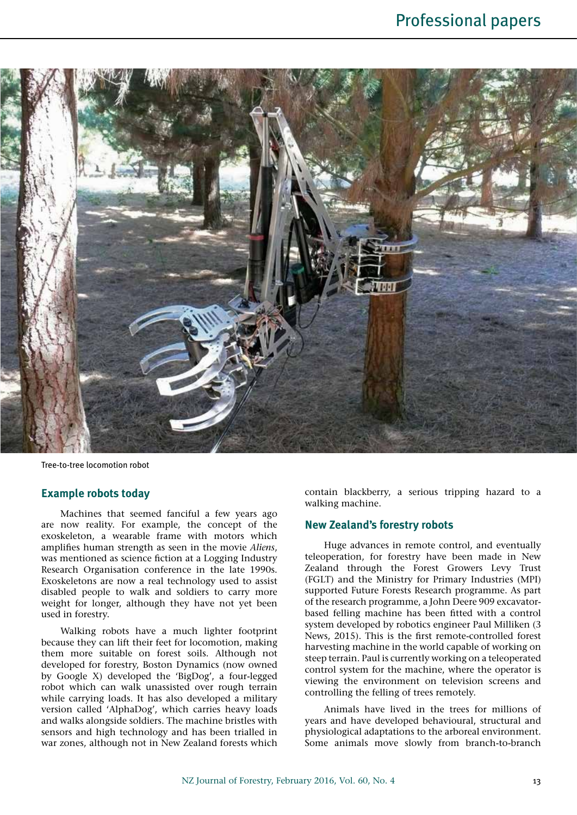

Tree-to-tree locomotion robot

#### **Example robots today**

Machines that seemed fanciful a few years ago are now reality. For example, the concept of the exoskeleton, a wearable frame with motors which amplifies human strength as seen in the movie *Aliens*, was mentioned as science fiction at a Logging Industry Research Organisation conference in the late 1990s. Exoskeletons are now a real technology used to assist disabled people to walk and soldiers to carry more weight for longer, although they have not yet been used in forestry.

Walking robots have a much lighter footprint because they can lift their feet for locomotion, making them more suitable on forest soils. Although not developed for forestry, Boston Dynamics (now owned by Google X) developed the 'BigDog', a four-legged robot which can walk unassisted over rough terrain while carrying loads. It has also developed a military version called 'AlphaDog', which carries heavy loads and walks alongside soldiers. The machine bristles with sensors and high technology and has been trialled in war zones, although not in New Zealand forests which contain blackberry, a serious tripping hazard to a walking machine.

## **New Zealand's forestry robots**

Huge advances in remote control, and eventually teleoperation, for forestry have been made in New Zealand through the Forest Growers Levy Trust (FGLT) and the Ministry for Primary Industries (MPI) supported Future Forests Research programme. As part of the research programme, a John Deere 909 excavatorbased felling machine has been fitted with a control system developed by robotics engineer Paul Milliken (3 News, 2015). This is the first remote-controlled forest harvesting machine in the world capable of working on steep terrain. Paul is currently working on a teleoperated control system for the machine, where the operator is viewing the environment on television screens and controlling the felling of trees remotely.

Animals have lived in the trees for millions of years and have developed behavioural, structural and physiological adaptations to the arboreal environment. Some animals move slowly from branch-to-branch